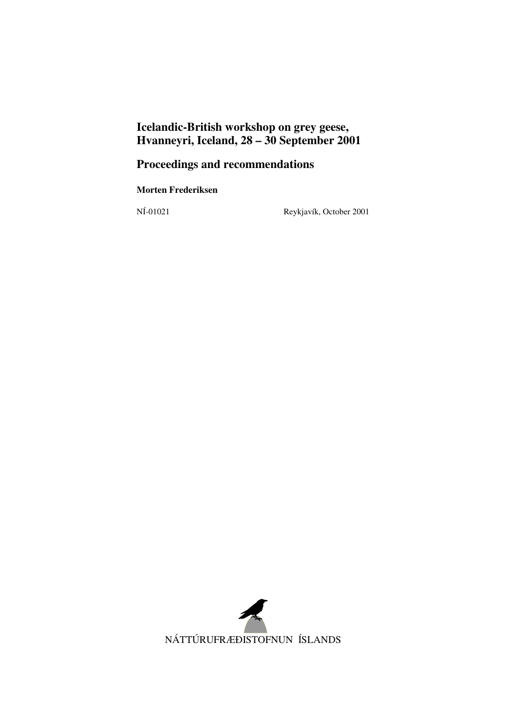# **Icelandic-British workshop on grey geese, Hvanneyri, Iceland, 28 – 30 September 2001**

# **Proceedings and recommendations**

**Morten Frederiksen** 

NÍ-01021 Reykjavík, October 2001

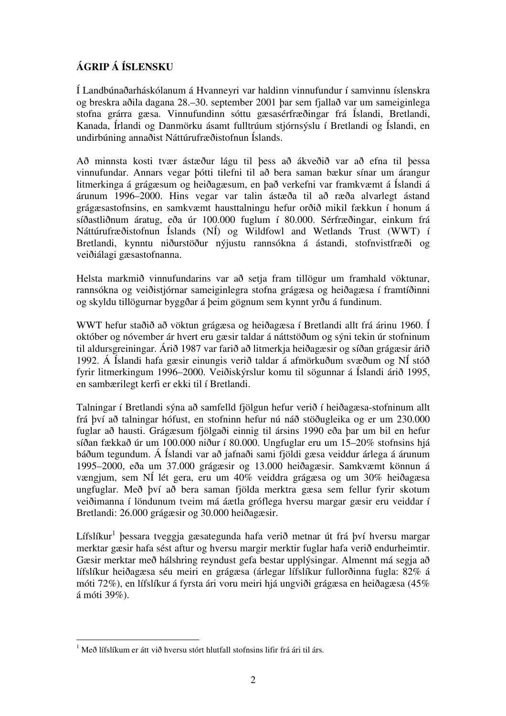## **ÁGRIP Á ÍSLENSKU**

Í Landbúnaðarháskólanum á Hvanneyri var haldinn vinnufundur í samvinnu íslenskra og breskra aðila dagana 28.–30. september 2001 þar sem fjallað var um sameiginlega stofna grárra gæsa. Vinnufundinn sóttu gæsasérfræðingar frá Íslandi, Bretlandi, Kanada, Írlandi og Danmörku ásamt fulltrúum stjórnsýslu í Bretlandi og Íslandi, en undirbúning annaðist Náttúrufræðistofnun Íslands.

Að minnsta kosti tvær ástæður lágu til þess að ákveðið var að efna til þessa vinnufundar. Annars vegar þótti tilefni til að bera saman bækur sínar um árangur litmerkinga á grágæsum og heiðagæsum, en það verkefni var framkvæmt á Íslandi á árunum 1996–2000. Hins vegar var talin ástæða til að ræða alvarlegt ástand grágæsastofnsins, en samkvæmt hausttalningu hefur orðið mikil fækkun í honum á síðastliðnum áratug, eða úr 100.000 fuglum í 80.000. Sérfræðingar, einkum frá Náttúrufræðistofnun Íslands (NÍ) og Wildfowl and Wetlands Trust (WWT) í Bretlandi, kynntu niðurstöður nýjustu rannsókna á ástandi, stofnvistfræði og veiðiálagi gæsastofnanna.

Helsta markmið vinnufundarins var að setja fram tillögur um framhald vöktunar, rannsókna og veiðistjórnar sameiginlegra stofna grágæsa og heiðagæsa í framtíðinni og skyldu tillögurnar byggðar á þeim gögnum sem kynnt yrðu á fundinum.

WWT hefur staðið að vöktun grágæsa og heiðagæsa í Bretlandi allt frá árinu 1960. Í október og nóvember ár hvert eru gæsir taldar á náttstöðum og sýni tekin úr stofninum til aldursgreiningar. Árið 1987 var farið að litmerkja heiðagæsir og síðan grágæsir árið 1992. Á Íslandi hafa gæsir einungis verið taldar á afmörkuðum svæðum og NÍ stóð fyrir litmerkingum 1996–2000. Veiðiskýrslur komu til sögunnar á Íslandi árið 1995, en sambærilegt kerfi er ekki til í Bretlandi.

Talningar í Bretlandi sýna að samfelld fjölgun hefur verið í heiðagæsa-stofninum allt frá því að talningar hófust, en stofninn hefur nú náð stöðugleika og er um 230.000 fuglar að hausti. Grágæsum fjölgaði einnig til ársins 1990 eða þar um bil en hefur síðan fækkað úr um 100.000 niður í 80.000. Ungfuglar eru um 15–20% stofnsins hjá báðum tegundum. Á Íslandi var að jafnaði sami fjöldi gæsa veiddur árlega á árunum 1995–2000, eða um 37.000 grágæsir og 13.000 heiðagæsir. Samkvæmt könnun á vængjum, sem NÍ lét gera, eru um 40% veiddra grágæsa og um 30% heiðagæsa ungfuglar. Með því að bera saman fjölda merktra gæsa sem fellur fyrir skotum veiðimanna í löndunum tveim má áætla gróflega hversu margar gæsir eru veiddar í Bretlandi: 26.000 grágæsir og 30.000 heiðagæsir.

Lífslíkur<sup>1</sup> þessara tveggja gæsategunda hafa verið metnar út frá því hversu margar merktar gæsir hafa sést aftur og hversu margir merktir fuglar hafa verið endurheimtir. Gæsir merktar með hálshring reyndust gefa bestar upplýsingar. Almennt má segja að lífslíkur heiðagæsa séu meiri en grágæsa (árlegar lífslíkur fullorðinna fugla: 82% á móti 72%), en lífslíkur á fyrsta ári voru meiri hjá ungviði grágæsa en heiðagæsa (45% á móti 39%).

 $\overline{a}$ <sup>1</sup> Með lífslíkum er átt við hversu stórt hlutfall stofnsins lifir frá ári til árs.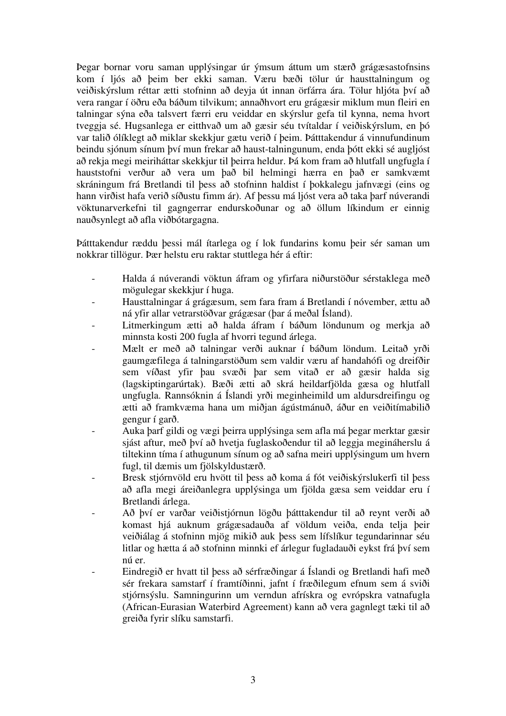Þegar bornar voru saman upplýsingar úr ýmsum áttum um stærð grágæsastofnsins kom í ljós að þeim ber ekki saman. Væru bæði tölur úr hausttalningum og veiðiskýrslum réttar ætti stofninn að deyja út innan örfárra ára. Tölur hljóta því að vera rangar í öðru eða báðum tilvikum; annaðhvort eru grágæsir miklum mun fleiri en talningar sýna eða talsvert færri eru veiddar en skýrslur gefa til kynna, nema hvort tveggja sé. Hugsanlega er eitthvað um að gæsir séu tvítaldar í veiðiskýrslum, en þó var talið ólíklegt að miklar skekkjur gætu verið í þeim. Þátttakendur á vinnufundinum beindu sjónum sínum því mun frekar að haust-talningunum, enda þótt ekki sé augljóst að rekja megi meiriháttar skekkjur til þeirra heldur. Þá kom fram að hlutfall ungfugla í hauststofni verður að vera um það bil helmingi hærra en það er samkvæmt skráningum frá Bretlandi til þess að stofninn haldist í þokkalegu jafnvægi (eins og hann virðist hafa verið síðustu fimm ár). Af þessu má ljóst vera að taka þarf núverandi vöktunarverkefni til gagngerrar endurskoðunar og að öllum líkindum er einnig nauðsynlegt að afla viðbótargagna.

Þátttakendur ræddu þessi mál ítarlega og í lok fundarins komu þeir sér saman um nokkrar tillögur. Þær helstu eru raktar stuttlega hér á eftir:

- Halda á núverandi vöktun áfram og yfirfara niðurstöður sérstaklega með mögulegar skekkjur í huga.
- Hausttalningar á grágæsum, sem fara fram á Bretlandi í nóvember, ættu að ná yfir allar vetrarstöðvar grágæsar (þar á meðal Ísland).
- Litmerkingum ætti að halda áfram í báðum löndunum og merkja að minnsta kosti 200 fugla af hvorri tegund árlega.
- Mælt er með að talningar verði auknar í báðum löndum. Leitað yrði gaumgæfilega á talningarstöðum sem valdir væru af handahófi og dreifðir sem víðast yfir þau svæði þar sem vitað er að gæsir halda sig (lagskiptingarúrtak). Bæði ætti að skrá heildarfjölda gæsa og hlutfall ungfugla. Rannsóknin á Íslandi yrði meginheimild um aldursdreifingu og ætti að framkvæma hana um miðjan ágústmánuð, áður en veiðitímabilið gengur í garð.
- Auka þarf gildi og vægi þeirra upplýsinga sem afla má þegar merktar gæsir sjást aftur, með því að hvetja fuglaskoðendur til að leggja megináherslu á tiltekinn tíma í athugunum sínum og að safna meiri upplýsingum um hvern fugl, til dæmis um fjölskyldustærð.
- Bresk stjórnvöld eru hvött til þess að koma á fót veiðiskýrslukerfi til þess að afla megi áreiðanlegra upplýsinga um fjölda gæsa sem veiddar eru í Bretlandi árlega.
- Að því er varðar veiðistjórnun lögðu þátttakendur til að reynt verði að komast hjá auknum grágæsadauða af völdum veiða, enda telja þeir veiðiálag á stofninn mjög mikið auk þess sem lífslíkur tegundarinnar séu litlar og hætta á að stofninn minnki ef árlegur fugladauði eykst frá því sem nú er.
- Eindregið er hvatt til þess að sérfræðingar á Íslandi og Bretlandi hafi með sér frekara samstarf í framtíðinni, jafnt í fræðilegum efnum sem á sviði stjórnsýslu. Samningurinn um verndun afrískra og evrópskra vatnafugla (African-Eurasian Waterbird Agreement) kann að vera gagnlegt tæki til að greiða fyrir slíku samstarfi.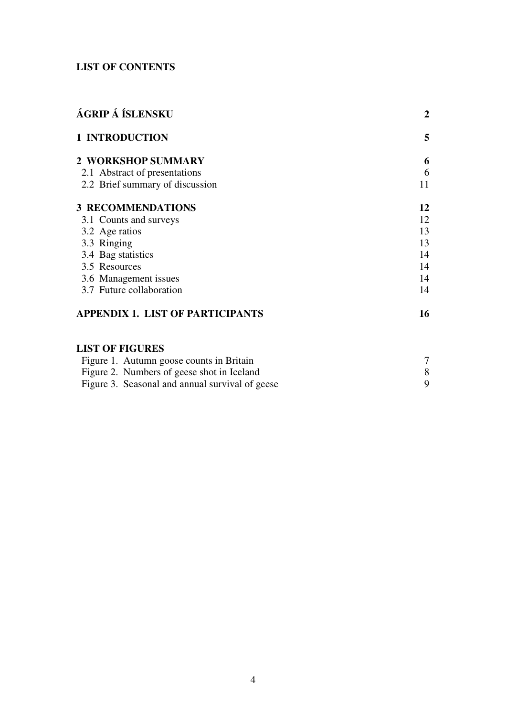## **LIST OF CONTENTS**

| ÁGRIP Á ÍSLENSKU<br><b>1 INTRODUCTION</b> | $\overline{2}$ |
|-------------------------------------------|----------------|
|                                           | 5              |
| <b>2 WORKSHOP SUMMARY</b>                 | 6              |
| 2.1 Abstract of presentations             | 6              |
| 2.2 Brief summary of discussion           | 11             |
| <b>3 RECOMMENDATIONS</b>                  | 12             |
| 3.1 Counts and surveys                    | 12             |
| 3.2 Age ratios                            | 13             |
| 3.3 Ringing                               | 13             |
| 3.4 Bag statistics                        | 14             |
| 3.5 Resources                             | 14             |
| 3.6 Management issues                     | 14             |
| 3.7 Future collaboration                  | 14             |
| <b>APPENDIX 1. LIST OF PARTICIPANTS</b>   | 16             |

## **LIST OF FIGURES**

| Figure 1. Autumn goose counts in Britain        |  |
|-------------------------------------------------|--|
| Figure 2. Numbers of geese shot in Iceland      |  |
| Figure 3. Seasonal and annual survival of geese |  |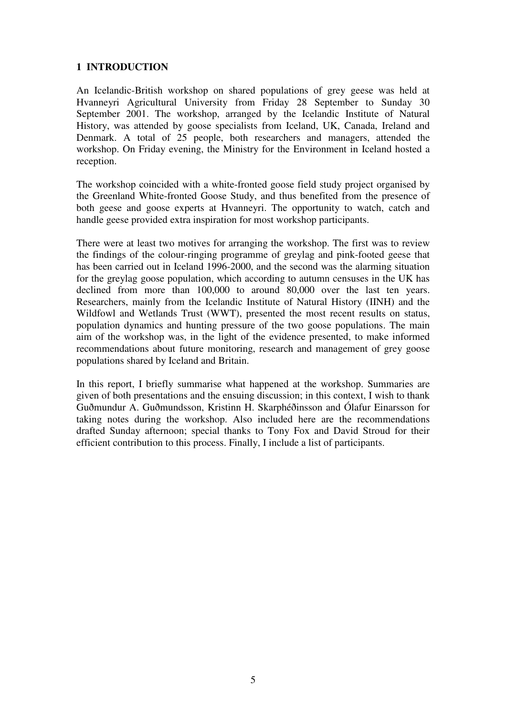#### **1 INTRODUCTION**

An Icelandic-British workshop on shared populations of grey geese was held at Hvanneyri Agricultural University from Friday 28 September to Sunday 30 September 2001. The workshop, arranged by the Icelandic Institute of Natural History, was attended by goose specialists from Iceland, UK, Canada, Ireland and Denmark. A total of 25 people, both researchers and managers, attended the workshop. On Friday evening, the Ministry for the Environment in Iceland hosted a reception.

The workshop coincided with a white-fronted goose field study project organised by the Greenland White-fronted Goose Study, and thus benefited from the presence of both geese and goose experts at Hvanneyri. The opportunity to watch, catch and handle geese provided extra inspiration for most workshop participants.

There were at least two motives for arranging the workshop. The first was to review the findings of the colour-ringing programme of greylag and pink-footed geese that has been carried out in Iceland 1996-2000, and the second was the alarming situation for the greylag goose population, which according to autumn censuses in the UK has declined from more than 100,000 to around 80,000 over the last ten years. Researchers, mainly from the Icelandic Institute of Natural History (IINH) and the Wildfowl and Wetlands Trust (WWT), presented the most recent results on status, population dynamics and hunting pressure of the two goose populations. The main aim of the workshop was, in the light of the evidence presented, to make informed recommendations about future monitoring, research and management of grey goose populations shared by Iceland and Britain.

In this report, I briefly summarise what happened at the workshop. Summaries are given of both presentations and the ensuing discussion; in this context, I wish to thank Guðmundur A. Guðmundsson, Kristinn H. Skarphéðinsson and Ólafur Einarsson for taking notes during the workshop. Also included here are the recommendations drafted Sunday afternoon; special thanks to Tony Fox and David Stroud for their efficient contribution to this process. Finally, I include a list of participants.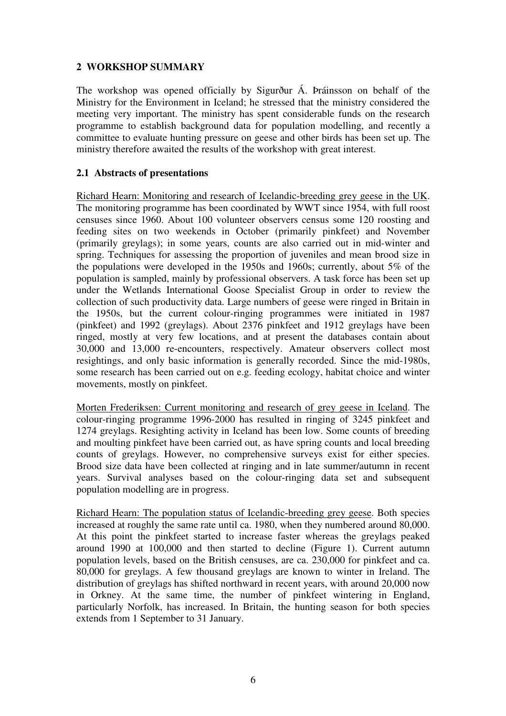#### **2 WORKSHOP SUMMARY**

The workshop was opened officially by Sigurður Á. Þráinsson on behalf of the Ministry for the Environment in Iceland; he stressed that the ministry considered the meeting very important. The ministry has spent considerable funds on the research programme to establish background data for population modelling, and recently a committee to evaluate hunting pressure on geese and other birds has been set up. The ministry therefore awaited the results of the workshop with great interest.

#### **2.1 Abstracts of presentations**

Richard Hearn: Monitoring and research of Icelandic-breeding grey geese in the UK. The monitoring programme has been coordinated by WWT since 1954, with full roost censuses since 1960. About 100 volunteer observers census some 120 roosting and feeding sites on two weekends in October (primarily pinkfeet) and November (primarily greylags); in some years, counts are also carried out in mid-winter and spring. Techniques for assessing the proportion of juveniles and mean brood size in the populations were developed in the 1950s and 1960s; currently, about 5% of the population is sampled, mainly by professional observers. A task force has been set up under the Wetlands International Goose Specialist Group in order to review the collection of such productivity data. Large numbers of geese were ringed in Britain in the 1950s, but the current colour-ringing programmes were initiated in 1987 (pinkfeet) and 1992 (greylags). About 2376 pinkfeet and 1912 greylags have been ringed, mostly at very few locations, and at present the databases contain about 30,000 and 13,000 re-encounters, respectively. Amateur observers collect most resightings, and only basic information is generally recorded. Since the mid-1980s, some research has been carried out on e.g. feeding ecology, habitat choice and winter movements, mostly on pinkfeet.

Morten Frederiksen: Current monitoring and research of grey geese in Iceland. The colour-ringing programme 1996-2000 has resulted in ringing of 3245 pinkfeet and 1274 greylags. Resighting activity in Iceland has been low. Some counts of breeding and moulting pinkfeet have been carried out, as have spring counts and local breeding counts of greylags. However, no comprehensive surveys exist for either species. Brood size data have been collected at ringing and in late summer/autumn in recent years. Survival analyses based on the colour-ringing data set and subsequent population modelling are in progress.

Richard Hearn: The population status of Icelandic-breeding grey geese. Both species increased at roughly the same rate until ca. 1980, when they numbered around 80,000. At this point the pinkfeet started to increase faster whereas the greylags peaked around 1990 at 100,000 and then started to decline (Figure 1). Current autumn population levels, based on the British censuses, are ca. 230,000 for pinkfeet and ca. 80,000 for greylags. A few thousand greylags are known to winter in Ireland. The distribution of greylags has shifted northward in recent years, with around 20,000 now in Orkney. At the same time, the number of pinkfeet wintering in England, particularly Norfolk, has increased. In Britain, the hunting season for both species extends from 1 September to 31 January.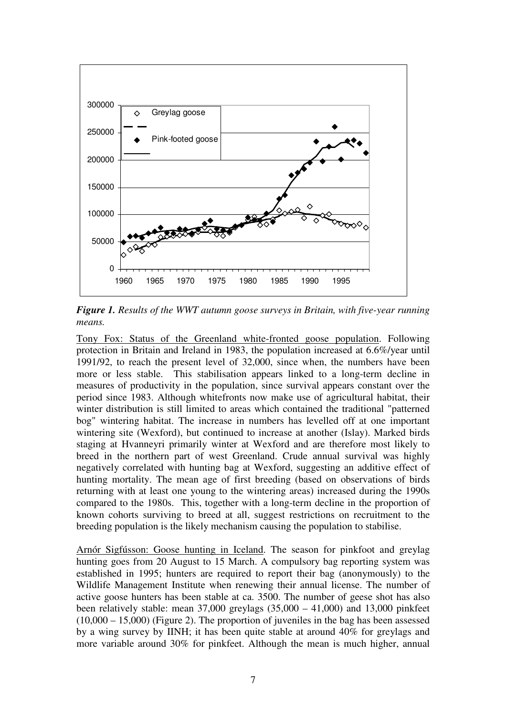

*Figure 1. Results of the WWT autumn goose surveys in Britain, with five-year running means.*

Tony Fox: Status of the Greenland white-fronted goose population. Following protection in Britain and Ireland in 1983, the population increased at 6.6%/year until 1991/92, to reach the present level of 32,000, since when, the numbers have been more or less stable. This stabilisation appears linked to a long-term decline in measures of productivity in the population, since survival appears constant over the period since 1983. Although whitefronts now make use of agricultural habitat, their winter distribution is still limited to areas which contained the traditional "patterned bog" wintering habitat. The increase in numbers has levelled off at one important wintering site (Wexford), but continued to increase at another (Islay). Marked birds staging at Hvanneyri primarily winter at Wexford and are therefore most likely to breed in the northern part of west Greenland. Crude annual survival was highly negatively correlated with hunting bag at Wexford, suggesting an additive effect of hunting mortality. The mean age of first breeding (based on observations of birds returning with at least one young to the wintering areas) increased during the 1990s compared to the 1980s. This, together with a long-term decline in the proportion of known cohorts surviving to breed at all, suggest restrictions on recruitment to the breeding population is the likely mechanism causing the population to stabilise.

Arnór Sigfússon: Goose hunting in Iceland. The season for pinkfoot and greylag hunting goes from 20 August to 15 March. A compulsory bag reporting system was established in 1995; hunters are required to report their bag (anonymously) to the Wildlife Management Institute when renewing their annual license. The number of active goose hunters has been stable at ca. 3500. The number of geese shot has also been relatively stable: mean  $37,000$  greylags  $(35,000 - 41,000)$  and  $13,000$  pinkfeet  $(10,000 - 15,000)$  (Figure 2). The proportion of juveniles in the bag has been assessed by a wing survey by IINH; it has been quite stable at around 40% for greylags and more variable around 30% for pinkfeet. Although the mean is much higher, annual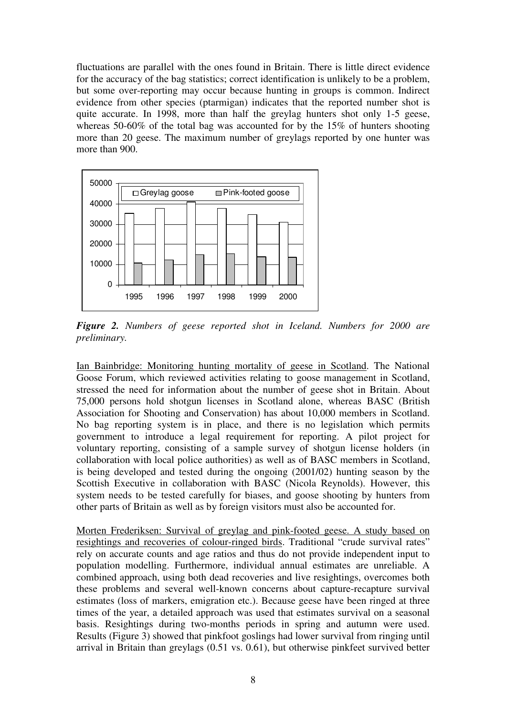fluctuations are parallel with the ones found in Britain. There is little direct evidence for the accuracy of the bag statistics; correct identification is unlikely to be a problem, but some over-reporting may occur because hunting in groups is common. Indirect evidence from other species (ptarmigan) indicates that the reported number shot is quite accurate. In 1998, more than half the greylag hunters shot only 1-5 geese, whereas 50-60% of the total bag was accounted for by the 15% of hunters shooting more than 20 geese. The maximum number of greylags reported by one hunter was more than 900.



*Figure 2. Numbers of geese reported shot in Iceland. Numbers for 2000 are preliminary.*

Ian Bainbridge: Monitoring hunting mortality of geese in Scotland. The National Goose Forum, which reviewed activities relating to goose management in Scotland, stressed the need for information about the number of geese shot in Britain. About 75,000 persons hold shotgun licenses in Scotland alone, whereas BASC (British Association for Shooting and Conservation) has about 10,000 members in Scotland. No bag reporting system is in place, and there is no legislation which permits government to introduce a legal requirement for reporting. A pilot project for voluntary reporting, consisting of a sample survey of shotgun license holders (in collaboration with local police authorities) as well as of BASC members in Scotland, is being developed and tested during the ongoing (2001/02) hunting season by the Scottish Executive in collaboration with BASC (Nicola Reynolds). However, this system needs to be tested carefully for biases, and goose shooting by hunters from other parts of Britain as well as by foreign visitors must also be accounted for.

Morten Frederiksen: Survival of greylag and pink-footed geese. A study based on resightings and recoveries of colour-ringed birds. Traditional "crude survival rates" rely on accurate counts and age ratios and thus do not provide independent input to population modelling. Furthermore, individual annual estimates are unreliable. A combined approach, using both dead recoveries and live resightings, overcomes both these problems and several well-known concerns about capture-recapture survival estimates (loss of markers, emigration etc.). Because geese have been ringed at three times of the year, a detailed approach was used that estimates survival on a seasonal basis. Resightings during two-months periods in spring and autumn were used. Results (Figure 3) showed that pinkfoot goslings had lower survival from ringing until arrival in Britain than greylags (0.51 vs. 0.61), but otherwise pinkfeet survived better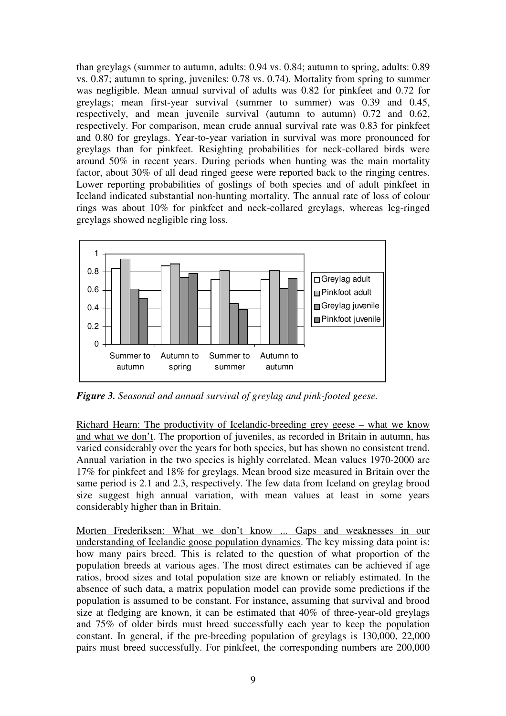than greylags (summer to autumn, adults: 0.94 vs. 0.84; autumn to spring, adults: 0.89 vs. 0.87; autumn to spring, juveniles: 0.78 vs. 0.74). Mortality from spring to summer was negligible. Mean annual survival of adults was 0.82 for pinkfeet and 0.72 for greylags; mean first-year survival (summer to summer) was 0.39 and 0.45, respectively, and mean juvenile survival (autumn to autumn) 0.72 and 0.62, respectively. For comparison, mean crude annual survival rate was 0.83 for pinkfeet and 0.80 for greylags. Year-to-year variation in survival was more pronounced for greylags than for pinkfeet. Resighting probabilities for neck-collared birds were around 50% in recent years. During periods when hunting was the main mortality factor, about 30% of all dead ringed geese were reported back to the ringing centres. Lower reporting probabilities of goslings of both species and of adult pinkfeet in Iceland indicated substantial non-hunting mortality. The annual rate of loss of colour rings was about 10% for pinkfeet and neck-collared greylags, whereas leg-ringed greylags showed negligible ring loss.



*Figure 3. Seasonal and annual survival of greylag and pink-footed geese.*

Richard Hearn: The productivity of Icelandic-breeding grey geese – what we know and what we don't. The proportion of juveniles, as recorded in Britain in autumn, has varied considerably over the years for both species, but has shown no consistent trend. Annual variation in the two species is highly correlated. Mean values 1970-2000 are 17% for pinkfeet and 18% for greylags. Mean brood size measured in Britain over the same period is 2.1 and 2.3, respectively. The few data from Iceland on greylag brood size suggest high annual variation, with mean values at least in some years considerably higher than in Britain.

Morten Frederiksen: What we don't know ... Gaps and weaknesses in our understanding of Icelandic goose population dynamics. The key missing data point is: how many pairs breed. This is related to the question of what proportion of the population breeds at various ages. The most direct estimates can be achieved if age ratios, brood sizes and total population size are known or reliably estimated. In the absence of such data, a matrix population model can provide some predictions if the population is assumed to be constant. For instance, assuming that survival and brood size at fledging are known, it can be estimated that 40% of three-year-old greylags and 75% of older birds must breed successfully each year to keep the population constant. In general, if the pre-breeding population of greylags is 130,000, 22,000 pairs must breed successfully. For pinkfeet, the corresponding numbers are 200,000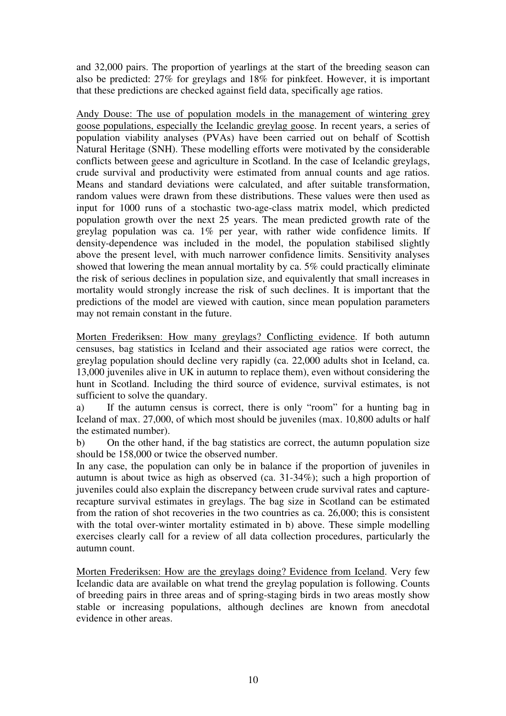and 32,000 pairs. The proportion of yearlings at the start of the breeding season can also be predicted: 27% for greylags and 18% for pinkfeet. However, it is important that these predictions are checked against field data, specifically age ratios.

Andy Douse: The use of population models in the management of wintering grey goose populations, especially the Icelandic greylag goose. In recent years, a series of population viability analyses (PVAs) have been carried out on behalf of Scottish Natural Heritage (SNH). These modelling efforts were motivated by the considerable conflicts between geese and agriculture in Scotland. In the case of Icelandic greylags, crude survival and productivity were estimated from annual counts and age ratios. Means and standard deviations were calculated, and after suitable transformation, random values were drawn from these distributions. These values were then used as input for 1000 runs of a stochastic two-age-class matrix model, which predicted population growth over the next 25 years. The mean predicted growth rate of the greylag population was ca. 1% per year, with rather wide confidence limits. If density-dependence was included in the model, the population stabilised slightly above the present level, with much narrower confidence limits. Sensitivity analyses showed that lowering the mean annual mortality by ca. 5% could practically eliminate the risk of serious declines in population size, and equivalently that small increases in mortality would strongly increase the risk of such declines. It is important that the predictions of the model are viewed with caution, since mean population parameters may not remain constant in the future.

Morten Frederiksen: How many greylags? Conflicting evidence. If both autumn censuses, bag statistics in Iceland and their associated age ratios were correct, the greylag population should decline very rapidly (ca. 22,000 adults shot in Iceland, ca. 13,000 juveniles alive in UK in autumn to replace them), even without considering the hunt in Scotland. Including the third source of evidence, survival estimates, is not sufficient to solve the quandary.

a) If the autumn census is correct, there is only "room" for a hunting bag in Iceland of max. 27,000, of which most should be juveniles (max. 10,800 adults or half the estimated number).

b) On the other hand, if the bag statistics are correct, the autumn population size should be 158,000 or twice the observed number.

In any case, the population can only be in balance if the proportion of juveniles in autumn is about twice as high as observed (ca. 31-34%); such a high proportion of juveniles could also explain the discrepancy between crude survival rates and capturerecapture survival estimates in greylags. The bag size in Scotland can be estimated from the ration of shot recoveries in the two countries as ca. 26,000; this is consistent with the total over-winter mortality estimated in b) above. These simple modelling exercises clearly call for a review of all data collection procedures, particularly the autumn count.

Morten Frederiksen: How are the greylags doing? Evidence from Iceland. Very few Icelandic data are available on what trend the greylag population is following. Counts of breeding pairs in three areas and of spring-staging birds in two areas mostly show stable or increasing populations, although declines are known from anecdotal evidence in other areas.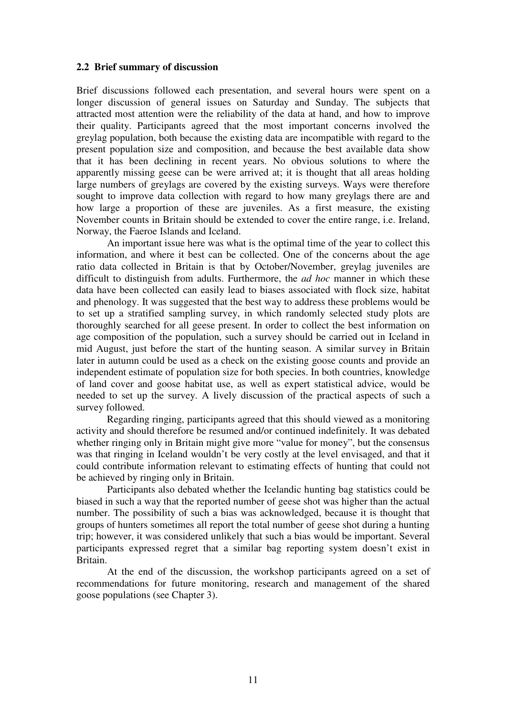#### **2.2 Brief summary of discussion**

Brief discussions followed each presentation, and several hours were spent on a longer discussion of general issues on Saturday and Sunday. The subjects that attracted most attention were the reliability of the data at hand, and how to improve their quality. Participants agreed that the most important concerns involved the greylag population, both because the existing data are incompatible with regard to the present population size and composition, and because the best available data show that it has been declining in recent years. No obvious solutions to where the apparently missing geese can be were arrived at; it is thought that all areas holding large numbers of greylags are covered by the existing surveys. Ways were therefore sought to improve data collection with regard to how many greylags there are and how large a proportion of these are juveniles. As a first measure, the existing November counts in Britain should be extended to cover the entire range, i.e. Ireland, Norway, the Faeroe Islands and Iceland.

An important issue here was what is the optimal time of the year to collect this information, and where it best can be collected. One of the concerns about the age ratio data collected in Britain is that by October/November, greylag juveniles are difficult to distinguish from adults. Furthermore, the *ad hoc* manner in which these data have been collected can easily lead to biases associated with flock size, habitat and phenology. It was suggested that the best way to address these problems would be to set up a stratified sampling survey, in which randomly selected study plots are thoroughly searched for all geese present. In order to collect the best information on age composition of the population, such a survey should be carried out in Iceland in mid August, just before the start of the hunting season. A similar survey in Britain later in autumn could be used as a check on the existing goose counts and provide an independent estimate of population size for both species. In both countries, knowledge of land cover and goose habitat use, as well as expert statistical advice, would be needed to set up the survey. A lively discussion of the practical aspects of such a survey followed.

Regarding ringing, participants agreed that this should viewed as a monitoring activity and should therefore be resumed and/or continued indefinitely. It was debated whether ringing only in Britain might give more "value for money", but the consensus was that ringing in Iceland wouldn't be very costly at the level envisaged, and that it could contribute information relevant to estimating effects of hunting that could not be achieved by ringing only in Britain.

Participants also debated whether the Icelandic hunting bag statistics could be biased in such a way that the reported number of geese shot was higher than the actual number. The possibility of such a bias was acknowledged, because it is thought that groups of hunters sometimes all report the total number of geese shot during a hunting trip; however, it was considered unlikely that such a bias would be important. Several participants expressed regret that a similar bag reporting system doesn't exist in Britain.

At the end of the discussion, the workshop participants agreed on a set of recommendations for future monitoring, research and management of the shared goose populations (see Chapter 3).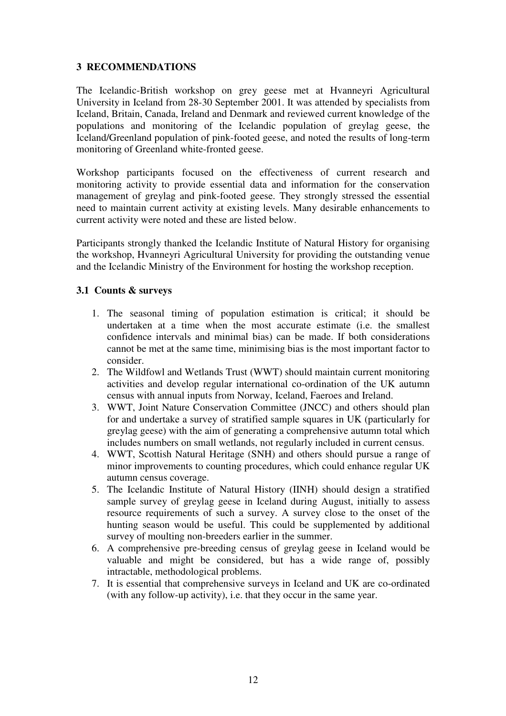#### **3 RECOMMENDATIONS**

The Icelandic-British workshop on grey geese met at Hvanneyri Agricultural University in Iceland from 28-30 September 2001. It was attended by specialists from Iceland, Britain, Canada, Ireland and Denmark and reviewed current knowledge of the populations and monitoring of the Icelandic population of greylag geese, the Iceland/Greenland population of pink-footed geese, and noted the results of long-term monitoring of Greenland white-fronted geese.

Workshop participants focused on the effectiveness of current research and monitoring activity to provide essential data and information for the conservation management of greylag and pink-footed geese. They strongly stressed the essential need to maintain current activity at existing levels. Many desirable enhancements to current activity were noted and these are listed below.

Participants strongly thanked the Icelandic Institute of Natural History for organising the workshop, Hvanneyri Agricultural University for providing the outstanding venue and the Icelandic Ministry of the Environment for hosting the workshop reception.

#### **3.1 Counts & surveys**

- 1. The seasonal timing of population estimation is critical; it should be undertaken at a time when the most accurate estimate (i.e. the smallest confidence intervals and minimal bias) can be made. If both considerations cannot be met at the same time, minimising bias is the most important factor to consider.
- 2. The Wildfowl and Wetlands Trust (WWT) should maintain current monitoring activities and develop regular international co-ordination of the UK autumn census with annual inputs from Norway, Iceland, Faeroes and Ireland.
- 3. WWT, Joint Nature Conservation Committee (JNCC) and others should plan for and undertake a survey of stratified sample squares in UK (particularly for greylag geese) with the aim of generating a comprehensive autumn total which includes numbers on small wetlands, not regularly included in current census.
- 4. WWT, Scottish Natural Heritage (SNH) and others should pursue a range of minor improvements to counting procedures, which could enhance regular UK autumn census coverage.
- 5. The Icelandic Institute of Natural History (IINH) should design a stratified sample survey of greylag geese in Iceland during August, initially to assess resource requirements of such a survey. A survey close to the onset of the hunting season would be useful. This could be supplemented by additional survey of moulting non-breeders earlier in the summer.
- 6. A comprehensive pre-breeding census of greylag geese in Iceland would be valuable and might be considered, but has a wide range of, possibly intractable, methodological problems.
- 7. It is essential that comprehensive surveys in Iceland and UK are co-ordinated (with any follow-up activity), i.e. that they occur in the same year.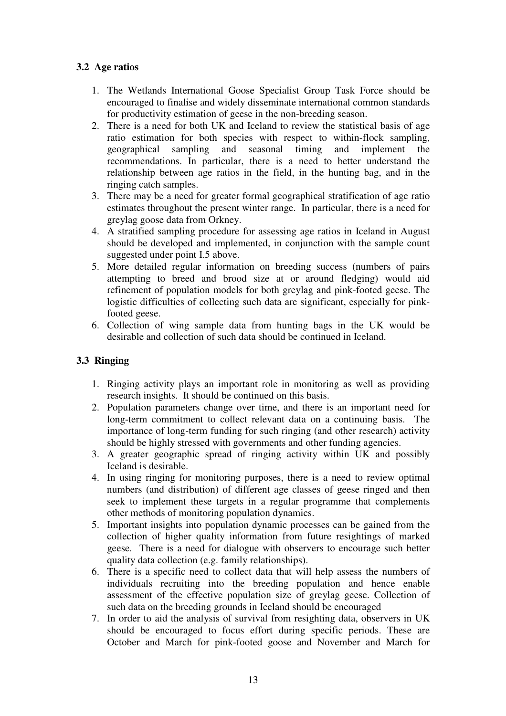### **3.2 Age ratios**

- 1. The Wetlands International Goose Specialist Group Task Force should be encouraged to finalise and widely disseminate international common standards for productivity estimation of geese in the non-breeding season.
- 2. There is a need for both UK and Iceland to review the statistical basis of age ratio estimation for both species with respect to within-flock sampling, geographical sampling and seasonal timing and implement the recommendations. In particular, there is a need to better understand the relationship between age ratios in the field, in the hunting bag, and in the ringing catch samples.
- 3. There may be a need for greater formal geographical stratification of age ratio estimates throughout the present winter range. In particular, there is a need for greylag goose data from Orkney.
- 4. A stratified sampling procedure for assessing age ratios in Iceland in August should be developed and implemented, in conjunction with the sample count suggested under point I.5 above.
- 5. More detailed regular information on breeding success (numbers of pairs attempting to breed and brood size at or around fledging) would aid refinement of population models for both greylag and pink-footed geese. The logistic difficulties of collecting such data are significant, especially for pinkfooted geese.
- 6. Collection of wing sample data from hunting bags in the UK would be desirable and collection of such data should be continued in Iceland.

### **3.3 Ringing**

- 1. Ringing activity plays an important role in monitoring as well as providing research insights. It should be continued on this basis.
- 2. Population parameters change over time, and there is an important need for long-term commitment to collect relevant data on a continuing basis. The importance of long-term funding for such ringing (and other research) activity should be highly stressed with governments and other funding agencies.
- 3. A greater geographic spread of ringing activity within UK and possibly Iceland is desirable.
- 4. In using ringing for monitoring purposes, there is a need to review optimal numbers (and distribution) of different age classes of geese ringed and then seek to implement these targets in a regular programme that complements other methods of monitoring population dynamics.
- 5. Important insights into population dynamic processes can be gained from the collection of higher quality information from future resightings of marked geese. There is a need for dialogue with observers to encourage such better quality data collection (e.g. family relationships).
- 6. There is a specific need to collect data that will help assess the numbers of individuals recruiting into the breeding population and hence enable assessment of the effective population size of greylag geese. Collection of such data on the breeding grounds in Iceland should be encouraged
- 7. In order to aid the analysis of survival from resighting data, observers in UK should be encouraged to focus effort during specific periods. These are October and March for pink-footed goose and November and March for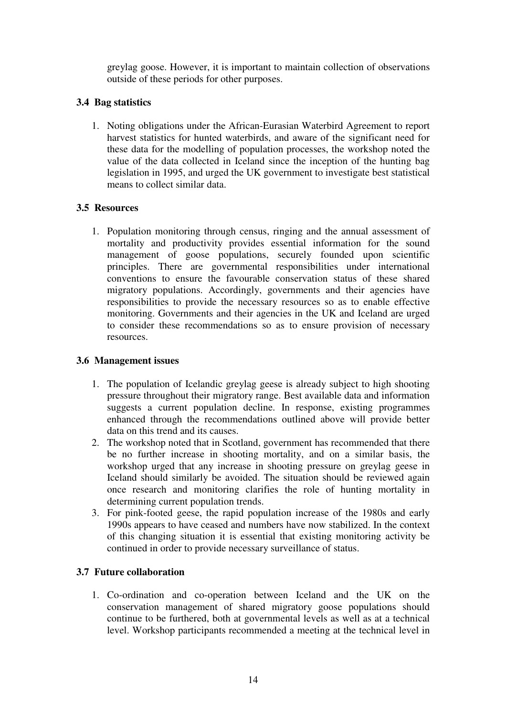greylag goose. However, it is important to maintain collection of observations outside of these periods for other purposes.

### **3.4 Bag statistics**

1. Noting obligations under the African-Eurasian Waterbird Agreement to report harvest statistics for hunted waterbirds, and aware of the significant need for these data for the modelling of population processes, the workshop noted the value of the data collected in Iceland since the inception of the hunting bag legislation in 1995, and urged the UK government to investigate best statistical means to collect similar data.

### **3.5 Resources**

1. Population monitoring through census, ringing and the annual assessment of mortality and productivity provides essential information for the sound management of goose populations, securely founded upon scientific principles. There are governmental responsibilities under international conventions to ensure the favourable conservation status of these shared migratory populations. Accordingly, governments and their agencies have responsibilities to provide the necessary resources so as to enable effective monitoring. Governments and their agencies in the UK and Iceland are urged to consider these recommendations so as to ensure provision of necessary resources.

#### **3.6 Management issues**

- 1. The population of Icelandic greylag geese is already subject to high shooting pressure throughout their migratory range. Best available data and information suggests a current population decline. In response, existing programmes enhanced through the recommendations outlined above will provide better data on this trend and its causes.
- 2. The workshop noted that in Scotland, government has recommended that there be no further increase in shooting mortality, and on a similar basis, the workshop urged that any increase in shooting pressure on greylag geese in Iceland should similarly be avoided. The situation should be reviewed again once research and monitoring clarifies the role of hunting mortality in determining current population trends.
- 3. For pink-footed geese, the rapid population increase of the 1980s and early 1990s appears to have ceased and numbers have now stabilized. In the context of this changing situation it is essential that existing monitoring activity be continued in order to provide necessary surveillance of status.

### **3.7 Future collaboration**

1. Co-ordination and co-operation between Iceland and the UK on the conservation management of shared migratory goose populations should continue to be furthered, both at governmental levels as well as at a technical level. Workshop participants recommended a meeting at the technical level in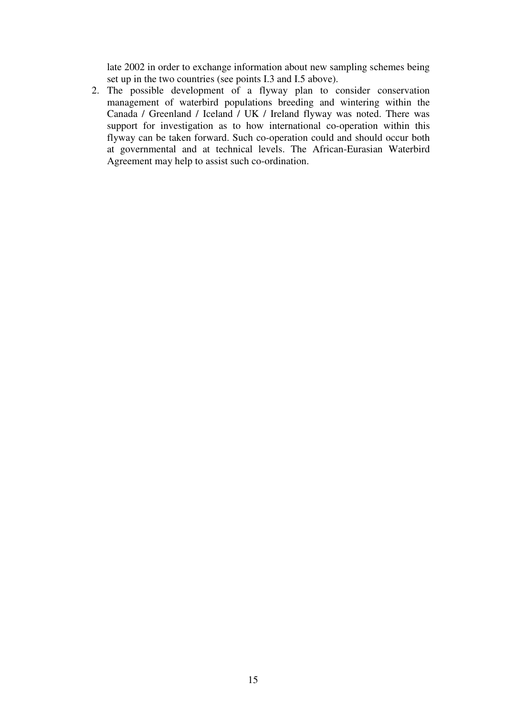late 2002 in order to exchange information about new sampling schemes being set up in the two countries (see points I.3 and I.5 above).

2. The possible development of a flyway plan to consider conservation management of waterbird populations breeding and wintering within the Canada / Greenland / Iceland / UK / Ireland flyway was noted. There was support for investigation as to how international co-operation within this flyway can be taken forward. Such co-operation could and should occur both at governmental and at technical levels. The African-Eurasian Waterbird Agreement may help to assist such co-ordination.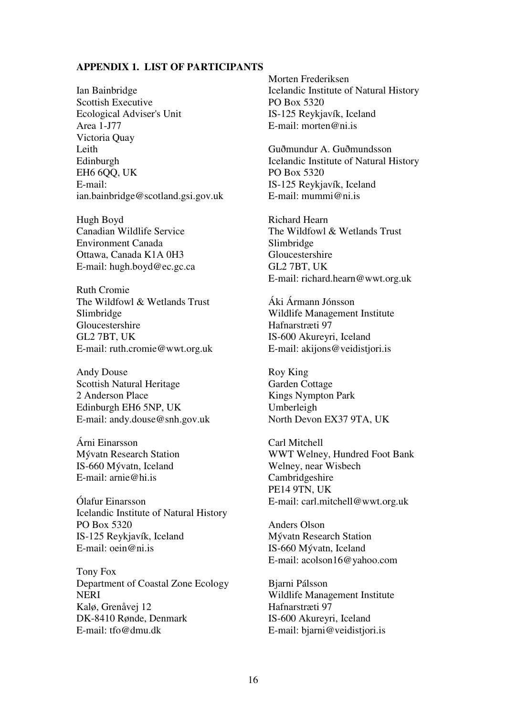#### **APPENDIX 1. LIST OF PARTICIPANTS**

Ian Bainbridge Scottish Executive Ecological Adviser's Unit Area 1-J77 Victoria Quay Leith Edinburgh EH6 6QQ, UK E-mail: ian.bainbridge@scotland.gsi.gov.uk

Hugh Boyd Canadian Wildlife Service Environment Canada Ottawa, Canada K1A 0H3 E-mail: hugh.boyd@ec.gc.ca

Ruth Cromie The Wildfowl & Wetlands Trust Slimbridge Gloucestershire GL2 7BT, UK E-mail: ruth.cromie@wwt.org.uk

Andy Douse Scottish Natural Heritage 2 Anderson Place Edinburgh EH6 5NP, UK E-mail: andy.douse@snh.gov.uk

Árni Einarsson Mývatn Research Station IS-660 Mývatn, Iceland E-mail: arnie@hi.is

Ólafur Einarsson Icelandic Institute of Natural History PO Box 5320 IS-125 Reykjavík, Iceland E-mail: oein@ni.is

Tony Fox Department of Coastal Zone Ecology NERI Kalø, Grenåvej 12 DK-8410 Rønde, Denmark E-mail: tfo@dmu.dk

Morten Frederiksen Icelandic Institute of Natural History PO Box 5320 IS-125 Reykjavík, Iceland E-mail: morten@ni.is

Guðmundur A. Guðmundsson Icelandic Institute of Natural History PO Box 5320 IS-125 Reykjavík, Iceland E-mail: mummi@ni.is

Richard Hearn The Wildfowl & Wetlands Trust Slimbridge Gloucestershire GL2 7BT, UK E-mail: richard.hearn@wwt.org.uk

Áki Ármann Jónsson Wildlife Management Institute Hafnarstræti 97 IS-600 Akureyri, Iceland E-mail: akijons@veidistjori.is

Roy King Garden Cottage Kings Nympton Park Umberleigh North Devon EX37 9TA, UK

Carl Mitchell WWT Welney, Hundred Foot Bank Welney, near Wisbech Cambridgeshire PE14 9TN, UK E-mail: carl.mitchell@wwt.org.uk

Anders Olson Mývatn Research Station IS-660 Mývatn, Iceland E-mail: acolson16@yahoo.com

Bjarni Pálsson Wildlife Management Institute Hafnarstræti 97 IS-600 Akureyri, Iceland E-mail: bjarni@veidistjori.is